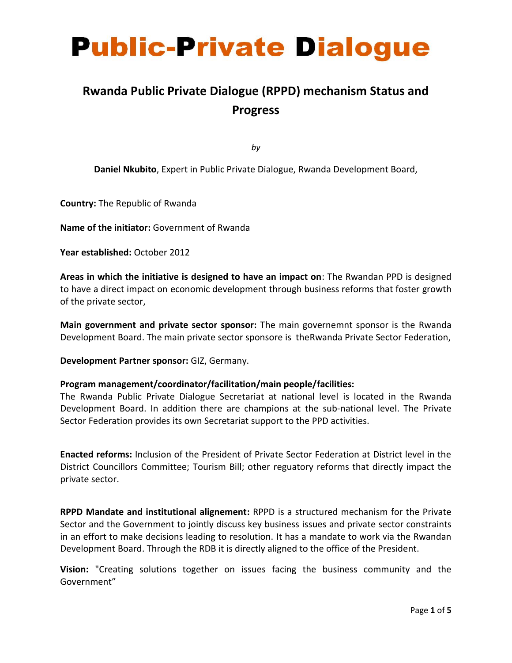# **Public-Private Dialogue**

## **Rwanda Public Private Dialogue (RPPD) mechanism Status and Progress**

*by*

**Daniel Nkubito**, Expert in Public Private Dialogue, Rwanda Development Board,

**Country:** The Republic of Rwanda

**Name of the initiator:** Government of Rwanda

**Year established:** October 2012

**Areas in which the initiative is designed to have an impact on**: The Rwandan PPD is designed to have a direct impact on economic development through business reforms that foster growth of the private sector,

**Main government and private sector sponsor:** The main governemnt sponsor is the Rwanda Development Board. The main private sector sponsore is theRwanda Private Sector Federation,

**Development Partner sponsor:** GIZ, Germany.

#### **Program management/coordinator/facilitation/main people/facilities:**

The Rwanda Public Private Dialogue Secretariat at national level is located in the Rwanda Development Board. In addition there are champions at the sub-national level. The Private Sector Federation provides its own Secretariat support to the PPD activities.

**Enacted reforms:** Inclusion of the President of Private Sector Federation at District level in the District Councillors Committee; Tourism Bill; other reguatory reforms that directly impact the private sector.

**RPPD Mandate and institutional alignement:** RPPD is a structured mechanism for the Private Sector and the Government to jointly discuss key business issues and private sector constraints in an effort to make decisions leading to resolution. It has a mandate to work via the Rwandan Development Board. Through the RDB it is directly aligned to the office of the President.

**Vision:** "Creating solutions together on issues facing the business community and the Government"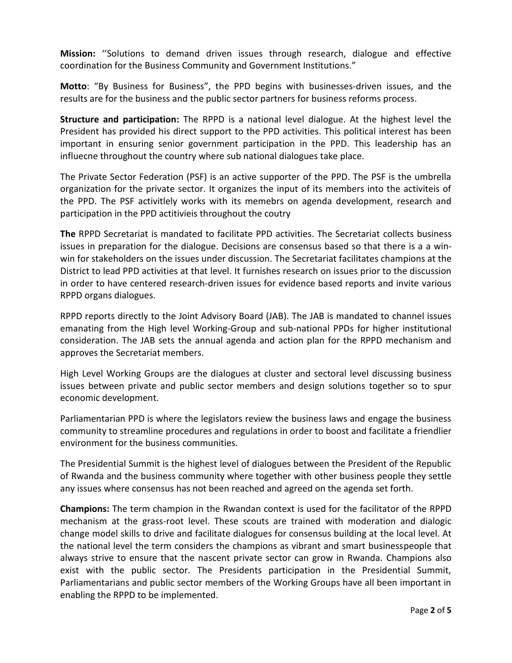**Mission:** ''Solutions to demand driven issues through research, dialogue and effective coordination for the Business Community and Government Institutions."

**Motto**: "By Business for Business", the PPD begins with businesses-driven issues, and the results are for the business and the public sector partners for business reforms process.

**Structure and participation:** The RPPD is a national level dialogue. At the highest level the President has provided his direct support to the PPD activities. This political interest has been important in ensuring senior government participation in the PPD. This leadership has an influecne throughout the country where sub national dialogues take place.

The Private Sector Federation (PSF) is an active supporter of the PPD. The PSF is the umbrella organization for the private sector. It organizes the input of its members into the activiteis of the PPD. The PSF activitlely works with its memebrs on agenda development, research and participation in the PPD actitivieis throughout the coutry

**The** RPPD Secretariat is mandated to facilitate PPD activities. The Secretariat collects business issues in preparation for the dialogue. Decisions are consensus based so that there is a a winwin for stakeholders on the issues under discussion. The Secretariat facilitates champions at the District to lead PPD activities at that level. It furnishes research on issues prior to the discussion in order to have centered research-driven issues for evidence based reports and invite various RPPD organs dialogues.

RPPD reports directly to the Joint Advisory Board (JAB). The JAB is mandated to channel issues emanating from the High level Working-Group and sub-national PPDs for higher institutional consideration. The JAB sets the annual agenda and action plan for the RPPD mechanism and approves the Secretariat members.

High Level Working Groups are the dialogues at cluster and sectoral level discussing business issues between private and public sector members and design solutions together so to spur economic development.

Parliamentarian PPD is where the legislators review the business laws and engage the business community to streamline procedures and regulations in order to boost and facilitate a friendlier environment for the business communities.

The Presidential Summit is the highest level of dialogues between the President of the Republic of Rwanda and the business community where together with other business people they settle any issues where consensus has not been reached and agreed on the agenda set forth.

**Champions:** The term champion in the Rwandan context is used for the facilitator of the RPPD mechanism at the grass-root level. These scouts are trained with moderation and dialogic change model skills to drive and facilitate dialogues for consensus building at the local level. At the national level the term considers the champions as vibrant and smart businesspeople that always strive to ensure that the nascent private sector can grow in Rwanda. Champions also exist with the public sector. The Presidents participation in the Presidential Summit, Parliamentarians and public sector members of the Working Groups have all been important in enabling the RPPD to be implemented.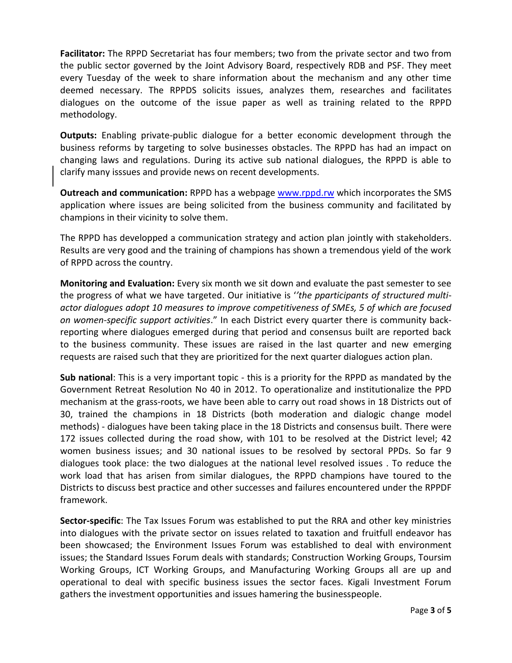**Facilitator:** The RPPD Secretariat has four members; two from the private sector and two from the public sector governed by the Joint Advisory Board, respectively RDB and PSF. They meet every Tuesday of the week to share information about the mechanism and any other time deemed necessary. The RPPDS solicits issues, analyzes them, researches and facilitates dialogues on the outcome of the issue paper as well as training related to the RPPD methodology.

**Outputs:** Enabling private-public dialogue for a better economic development through the business reforms by targeting to solve businesses obstacles. The RPPD has had an impact on changing laws and regulations. During its active sub national dialogues, the RPPD is able to clarify many isssues and provide news on recent developments.

**Outreach and communication:** RPPD has a webpage [www.rppd.rw](http://www.rppd.rw/) which incorporates the SMS application where issues are being solicited from the business community and facilitated by champions in their vicinity to solve them.

The RPPD has developped a communication strategy and action plan jointly with stakeholders. Results are very good and the training of champions has shown a tremendous yield of the work of RPPD across the country.

**Monitoring and Evaluation:** Every six month we sit down and evaluate the past semester to see the progress of what we have targeted. Our initiative is '*'the pparticipants of structured multiactor dialogues adopt 10 measures to improve competitiveness of SMEs, 5 of which are focused on women-specific support activities*." In each District every quarter there is community backreporting where dialogues emerged during that period and consensus built are reported back to the business community. These issues are raised in the last quarter and new emerging requests are raised such that they are prioritized for the next quarter dialogues action plan.

**Sub national**: This is a very important topic - this is a priority for the RPPD as mandated by the Government Retreat Resolution No 40 in 2012. To operationalize and institutionalize the PPD mechanism at the grass-roots, we have been able to carry out road shows in 18 Districts out of 30, trained the champions in 18 Districts (both moderation and dialogic change model methods) - dialogues have been taking place in the 18 Districts and consensus built. There were 172 issues collected during the road show, with 101 to be resolved at the District level; 42 women business issues; and 30 national issues to be resolved by sectoral PPDs. So far 9 dialogues took place: the two dialogues at the national level resolved issues . To reduce the work load that has arisen from similar dialogues, the RPPD champions have toured to the Districts to discuss best practice and other successes and failures encountered under the RPPDF framework.

**Sector-specific**: The Tax Issues Forum was established to put the RRA and other key ministries into dialogues with the private sector on issues related to taxation and fruitfull endeavor has been showcased; the Environment Issues Forum was established to deal with environment issues; the Standard Issues Forum deals with standards; Construction Working Groups, Toursim Working Groups, ICT Working Groups, and Manufacturing Working Groups all are up and operational to deal with specific business issues the sector faces. Kigali Investment Forum gathers the investment opportunities and issues hamering the businesspeople.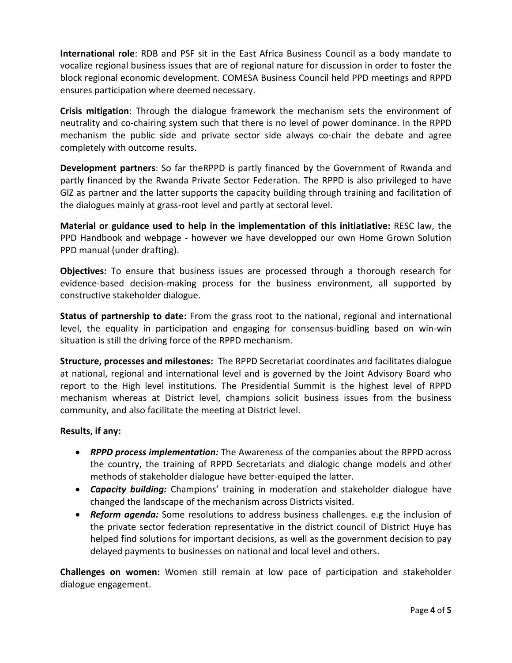**International role**: RDB and PSF sit in the East Africa Business Council as a body mandate to vocalize regional business issues that are of regional nature for discussion in order to foster the block regional economic development. COMESA Business Council held PPD meetings and RPPD ensures participation where deemed necessary.

**Crisis mitigation**: Through the dialogue framework the mechanism sets the environment of neutrality and co-chairing system such that there is no level of power dominance. In the RPPD mechanism the public side and private sector side always co-chair the debate and agree completely with outcome results.

**Development partners**: So far theRPPD is partly financed by the Government of Rwanda and partly financed by the Rwanda Private Sector Federation. The RPPD is also privileged to have GIZ as partner and the latter supports the capacity building through training and facilitation of the dialogues mainly at grass-root level and partly at sectoral level.

**Material or guidance used to help in the implementation of this initiatiative:** RESC law, the PPD Handbook and webpage - however we have developped our own Home Grown Solution PPD manual (under drafting).

**Objectives:** To ensure that business issues are processed through a thorough research for evidence-based decision-making process for the business environment, all supported by constructive stakeholder dialogue.

**Status of partnership to date:** From the grass root to the national, regional and international level, the equality in participation and engaging for consensus-buidling based on win-win situation is still the driving force of the RPPD mechanism.

**Structure, processes and milestones:** The RPPD Secretariat coordinates and facilitates dialogue at national, regional and international level and is governed by the Joint Advisory Board who report to the High level institutions. The Presidential Summit is the highest level of RPPD mechanism whereas at District level, champions solicit business issues from the business community, and also facilitate the meeting at District level.

#### **Results, if any:**

- *RPPD process implementation:* The Awareness of the companies about the RPPD across the country, the training of RPPD Secretariats and dialogic change models and other methods of stakeholder dialogue have better-equiped the latter.
- *Capacity building:* Champions' training in moderation and stakeholder dialogue have changed the landscape of the mechanism across Districts visited.
- *Reform agenda:* Some resolutions to address business challenges. e.g the inclusion of the private sector federation representative in the district council of District Huye has helped find solutions for important decisions, as well as the government decision to pay delayed payments to businesses on national and local level and others.

**Challenges on women:** Women still remain at low pace of participation and stakeholder dialogue engagement.